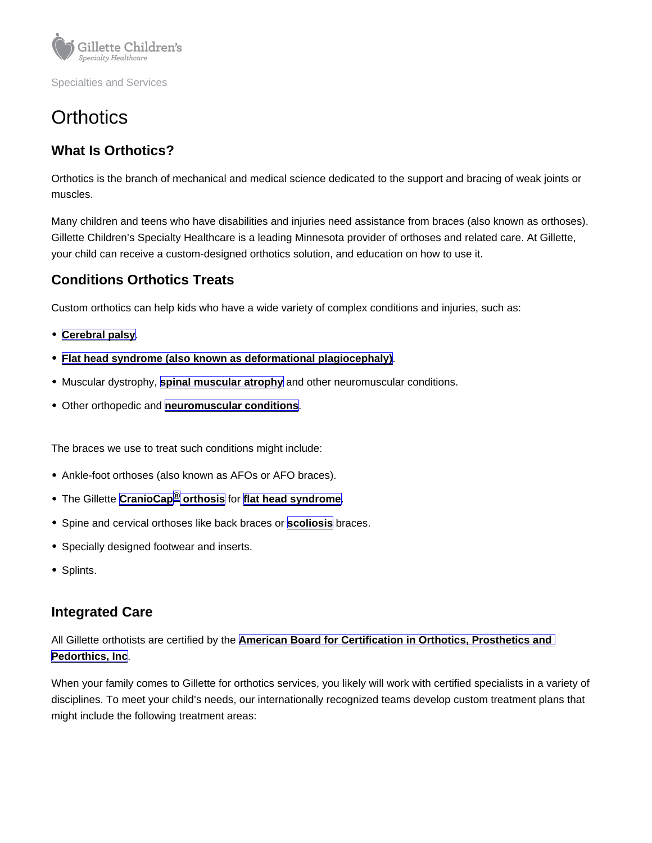# **Orthotics**

## What Is Orthotics?

Orthotics is the branch of mechanical and medical science dedicated to the support and bracing of weak joints or muscles.

Many children and teens who have disabilities and injuries need assistance from braces (also known as orthoses). Gillette Children's Specialty Healthcare is a leading Minnesota provider of orthoses and related care. At Gillette, your child can receive a custom-designed orthotics solution, and education on how to use it.

### Conditions Orthotics Treats

Custom orthotics can help kids who have a wide variety of complex conditions and injuries, such as:

- [Cerebral palsy](https://www.gillettechildrens.org/conditions-care/cerebral-palsy)
- [Flat head syndrome \(also known as deformational plagiocephaly\)](https://www.gillettechildrens.org/conditions-care/deformational-plagiocephaly-flat-head)
- Muscular dystrophy, [spinal muscular atrophy](https://www.gillettechildrens.org/conditions-care/spinal-muscular-atrophy) and other neuromuscular conditions.
- Other orthopedic and [neuromuscular conditions](https://www.gillettechildrens.org/conditions-care/neuromuscular-disorders)

The braces we use to treat such conditions might include:

- Ankle-foot orthoses (also known as AFOs or AFO braces).
- The Gillette [CranioCap](https://www.gillettechildrens.org/conditions-care/craniocap-orthosis) **<sup>[®](https://www.gillettechildrens.org/conditions-care/craniocap-orthosis)</sup>** orthosis for [flat head syndrome](https://www.gillettechildrens.org/conditions-care/deformational-plagiocephaly-flat-head).
- Spine and cervical orthoses like back braces or [scoliosis](https://www.gillettechildrens.org/conditions-care/scoliosis-idiopathic-neuromuscular-and-congenital) braces.
- Specially designed footwear and inserts.
- Splints.

#### Integrated Care

All Gillette orthotists are certified by the [American Board for Certification in Orthotics, Prosthetics and](https://www.abcop.org/Pages/default.aspx)  [Pedorthics, Inc](https://www.abcop.org/Pages/default.aspx).

When your family comes to Gillette for orthotics services, you likely will work with certified specialists in a variety of disciplines. To meet your child's needs, our internationally recognized teams develop custom treatment plans that might include the following treatment areas: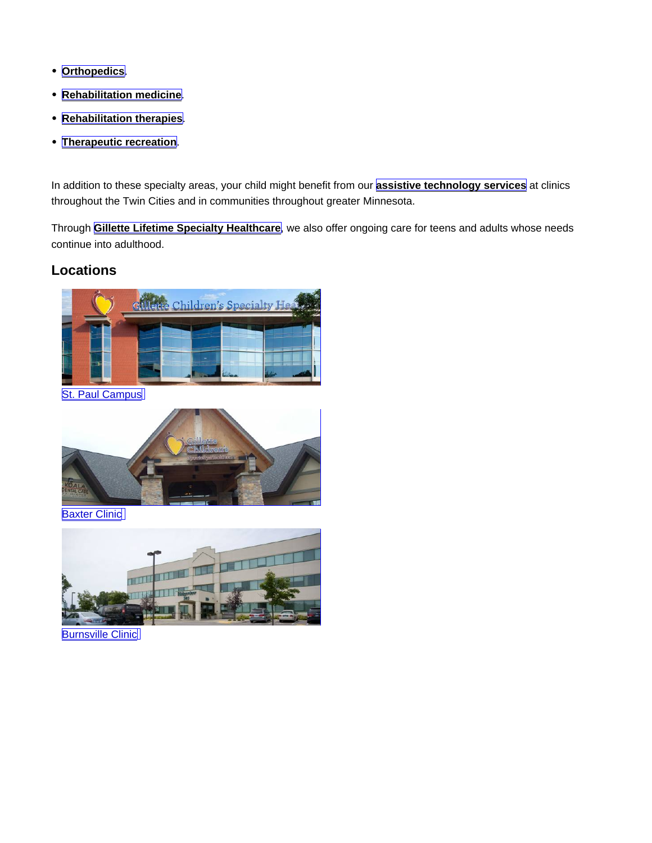- [Orthopedics](https://www.gillettechildrens.org/conditions-care/orthopedics) .
- [Rehabilitation medicine](https://www.gillettechildrens.org/conditions-care/rehabilitation-services/rehabilitation-medicine).  $\bullet$
- [Rehabilitation therapies](https://www.gillettechildrens.org/conditions-care/rehabilitation-services/rehabilitation-therapies).  $\bullet$
- [Therapeutic recreation](https://www.gillettechildrens.org/conditions-care/therapeutic-recreation) .

In addition to these specialty areas, your child might benefit from our **assistive technology services** at clinics throughout the Twin Cities and in communities throughout greater Minnesota.

Through [Gillette Lifetime Specialty Healthcare](https://www.gillettechildrens.org/conditions-care/adult-services) , we also offer ongoing care for teens and adults whose needs continue into adulthood.

Locations

[St. Paul Campus](https://www.gillettechildrens.org/locations/st-paul-campus)

**[Baxter Clinic](https://www.gillettechildrens.org/locations/baxter-clinic)** 

**[Burnsville Clinic](https://www.gillettechildrens.org/locations/burnsville-clinic)**